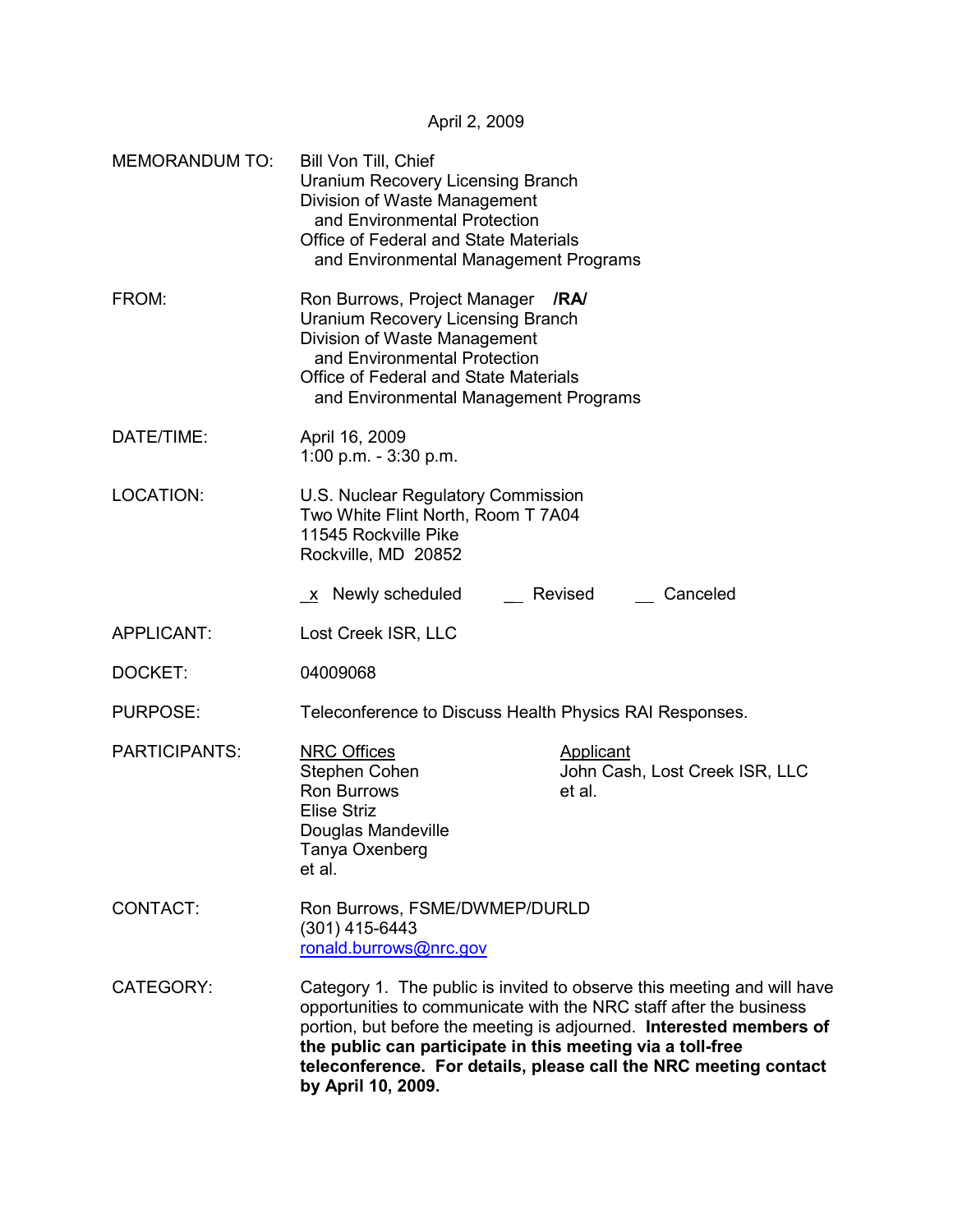April 2, 2009

| <b>MEMORANDUM TO:</b> | Bill Von Till, Chief<br><b>Uranium Recovery Licensing Branch</b><br>Division of Waste Management<br>and Environmental Protection<br>Office of Federal and State Materials<br>and Environmental Management Programs         |                                                                                                                                                                                                                                                                                          |  |
|-----------------------|----------------------------------------------------------------------------------------------------------------------------------------------------------------------------------------------------------------------------|------------------------------------------------------------------------------------------------------------------------------------------------------------------------------------------------------------------------------------------------------------------------------------------|--|
| FROM:                 | Ron Burrows, Project Manager<br><b>Uranium Recovery Licensing Branch</b><br>Division of Waste Management<br>and Environmental Protection<br>Office of Federal and State Materials<br>and Environmental Management Programs | /RA/                                                                                                                                                                                                                                                                                     |  |
| DATE/TIME:            | April 16, 2009<br>1:00 p.m. $-3:30$ p.m.                                                                                                                                                                                   |                                                                                                                                                                                                                                                                                          |  |
| LOCATION:             | U.S. Nuclear Regulatory Commission<br>Two White Flint North, Room T 7A04<br>11545 Rockville Pike<br>Rockville, MD 20852                                                                                                    |                                                                                                                                                                                                                                                                                          |  |
|                       | x Newly scheduled                                                                                                                                                                                                          | Revised<br>Canceled                                                                                                                                                                                                                                                                      |  |
| <b>APPLICANT:</b>     | Lost Creek ISR, LLC                                                                                                                                                                                                        |                                                                                                                                                                                                                                                                                          |  |
| DOCKET:               | 04009068                                                                                                                                                                                                                   |                                                                                                                                                                                                                                                                                          |  |
| PURPOSE:              | Teleconference to Discuss Health Physics RAI Responses.                                                                                                                                                                    |                                                                                                                                                                                                                                                                                          |  |
| <b>PARTICIPANTS:</b>  | <b>NRC Offices</b><br>Stephen Cohen<br>Ron Burrows<br><b>Elise Striz</b><br>Douglas Mandeville<br>Tanya Oxenberg<br>et al.                                                                                                 | <b>Applicant</b><br>John Cash, Lost Creek ISR, LLC<br>et al.                                                                                                                                                                                                                             |  |
| CONTACT:              | Ron Burrows, FSME/DWMEP/DURLD<br>$(301)$ 415-6443<br>ronald.burrows@nrc.gov                                                                                                                                                |                                                                                                                                                                                                                                                                                          |  |
| CATEGORY:             | the public can participate in this meeting via a toll-free<br>by April 10, 2009.                                                                                                                                           | Category 1. The public is invited to observe this meeting and will have<br>opportunities to communicate with the NRC staff after the business<br>portion, but before the meeting is adjourned. Interested members of<br>teleconference. For details, please call the NRC meeting contact |  |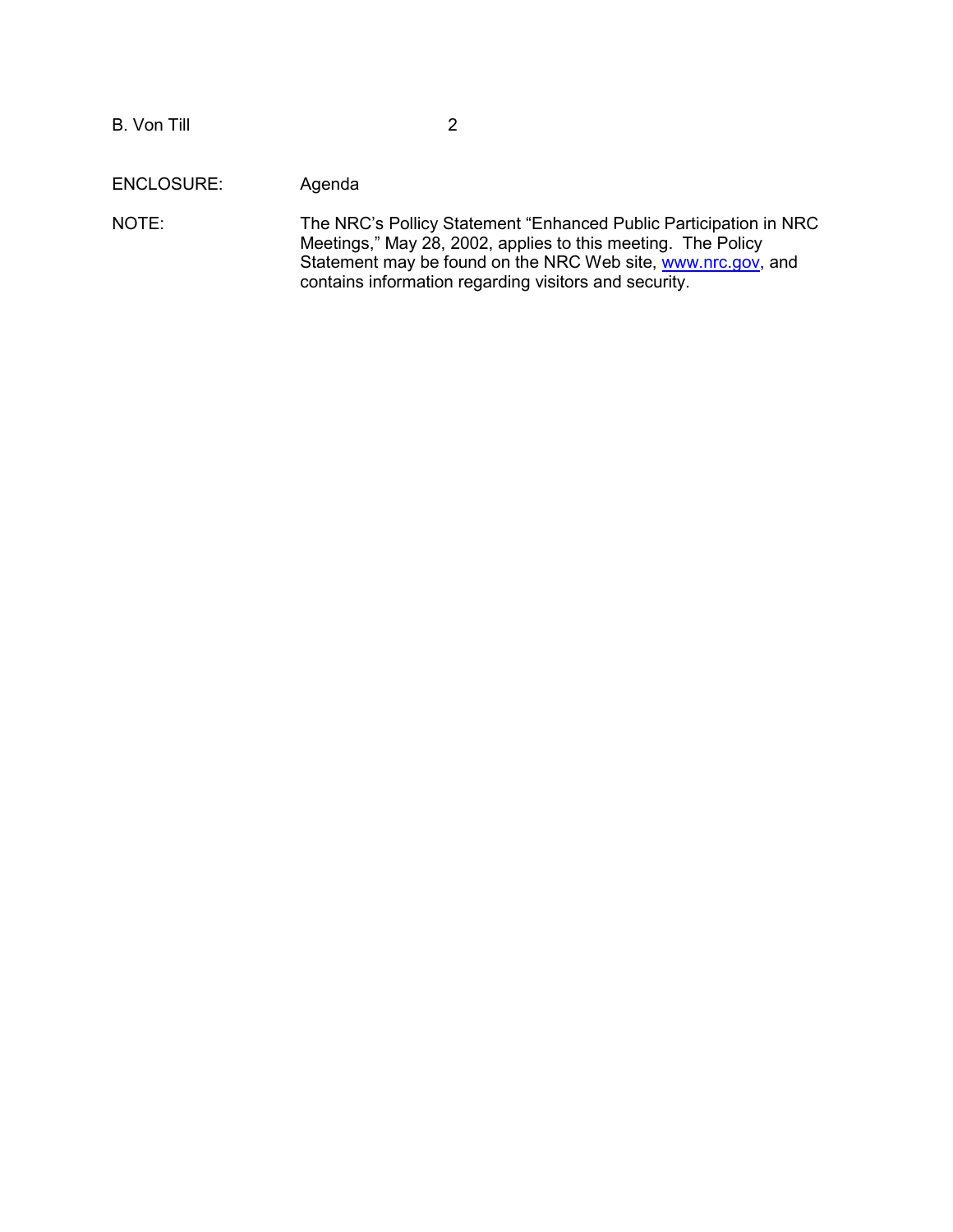B. Von Till 2

ENCLOSURE: Agenda

NOTE: The NRC's Pollicy Statement "Enhanced Public Participation in NRC Meetings," May 28, 2002, applies to this meeting. The Policy Statement may be found on the NRC Web site, www.nrc.gov, and contains information regarding visitors and security.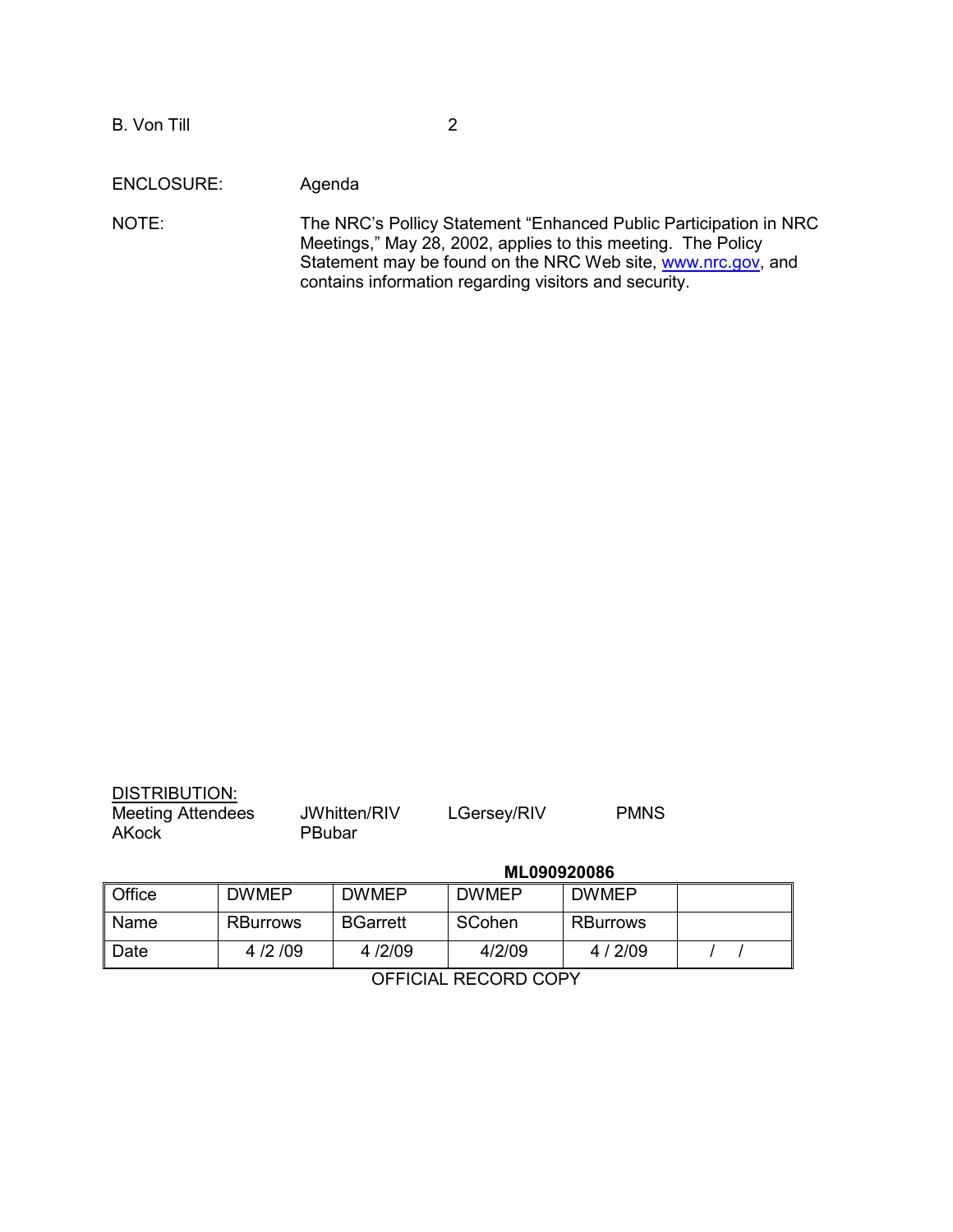B. Von Till 2

ENCLOSURE: Agenda

NOTE: The NRC's Pollicy Statement "Enhanced Public Participation in NRC Meetings," May 28, 2002, applies to this meeting. The Policy Statement may be found on the NRC Web site, www.nrc.gov, and contains information regarding visitors and security.

| <b>DISTRIBUTION:</b>              |                        |             |             |
|-----------------------------------|------------------------|-------------|-------------|
| <b>Meeting Attendees</b><br>AKock | JWhitten/RIV<br>PBubar | LGersey/RIV | <b>PMNS</b> |
|                                   |                        |             |             |

## **ML090920086**

| ll Office | <b>DWMEP</b>    | <b>DWMEP</b>    | <b>DWMEP</b> | <b>DWMEP</b>    |  |
|-----------|-----------------|-----------------|--------------|-----------------|--|
| ll Name   | <b>RBurrows</b> | <b>BGarrett</b> | SCohen       | <b>RBurrows</b> |  |
| ∥ Date    | 4/2/09          | 4/2/09          | 4/2/09       | 4/2/09          |  |

OFFICIAL RECORD COPY